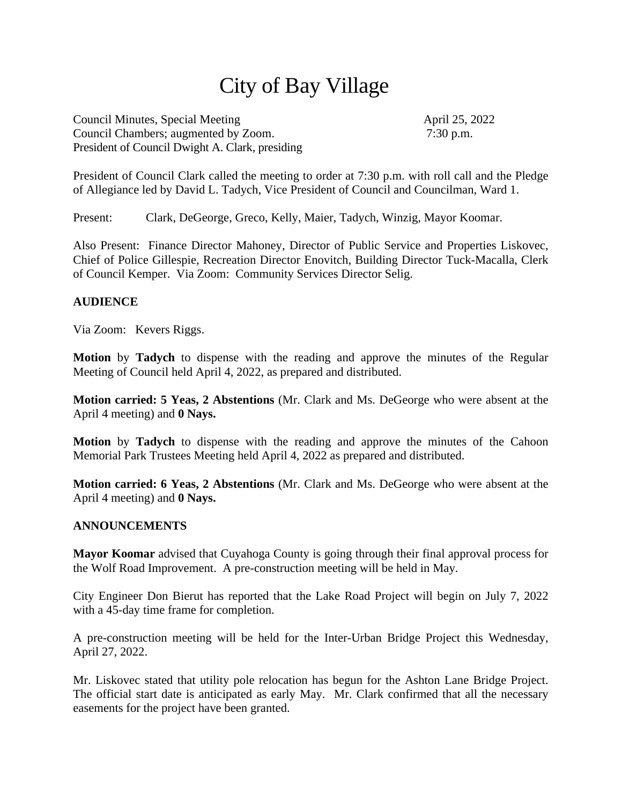# City of Bay Village

Council Minutes, Special Meeting April 25, 2022 Council Chambers; augmented by Zoom. 7:30 p.m. President of Council Dwight A. Clark, presiding

President of Council Clark called the meeting to order at 7:30 p.m. with roll call and the Pledge of Allegiance led by David L. Tadych, Vice President of Council and Councilman, Ward 1.

Present: Clark, DeGeorge, Greco, Kelly, Maier, Tadych, Winzig, Mayor Koomar.

Also Present: Finance Director Mahoney, Director of Public Service and Properties Liskovec, Chief of Police Gillespie, Recreation Director Enovitch, Building Director Tuck-Macalla, Clerk of Council Kemper. Via Zoom: Community Services Director Selig.

# **AUDIENCE**

Via Zoom: Kevers Riggs.

**Motion** by **Tadych** to dispense with the reading and approve the minutes of the Regular Meeting of Council held April 4, 2022, as prepared and distributed.

**Motion carried: 5 Yeas, 2 Abstentions** (Mr. Clark and Ms. DeGeorge who were absent at the April 4 meeting) and **0 Nays.**

**Motion** by **Tadych** to dispense with the reading and approve the minutes of the Cahoon Memorial Park Trustees Meeting held April 4, 2022 as prepared and distributed.

**Motion carried: 6 Yeas, 2 Abstentions** (Mr. Clark and Ms. DeGeorge who were absent at the April 4 meeting) and **0 Nays.**

#### **ANNOUNCEMENTS**

**Mayor Koomar** advised that Cuyahoga County is going through their final approval process for the Wolf Road Improvement. A pre-construction meeting will be held in May.

City Engineer Don Bierut has reported that the Lake Road Project will begin on July 7, 2022 with a 45-day time frame for completion.

A pre-construction meeting will be held for the Inter-Urban Bridge Project this Wednesday, April 27, 2022.

Mr. Liskovec stated that utility pole relocation has begun for the Ashton Lane Bridge Project. The official start date is anticipated as early May. Mr. Clark confirmed that all the necessary easements for the project have been granted.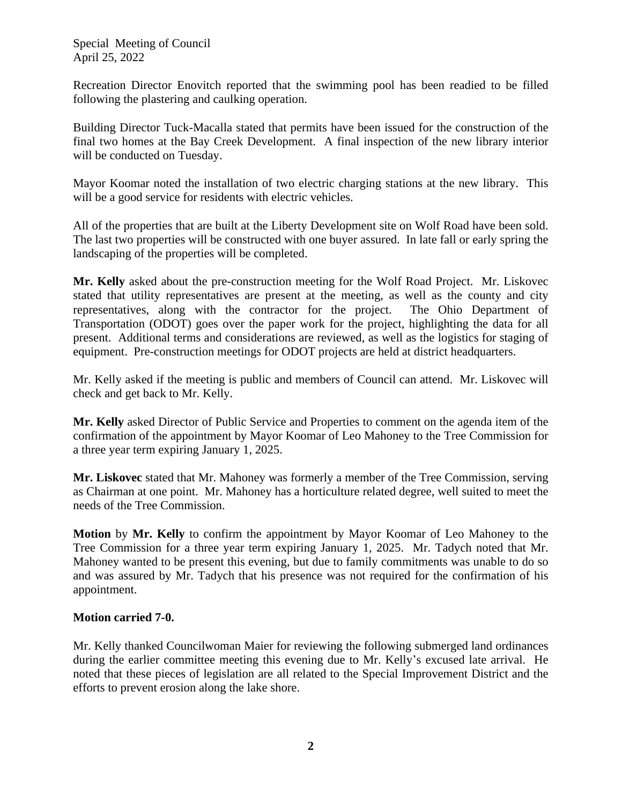Recreation Director Enovitch reported that the swimming pool has been readied to be filled following the plastering and caulking operation.

Building Director Tuck-Macalla stated that permits have been issued for the construction of the final two homes at the Bay Creek Development. A final inspection of the new library interior will be conducted on Tuesday.

Mayor Koomar noted the installation of two electric charging stations at the new library. This will be a good service for residents with electric vehicles.

All of the properties that are built at the Liberty Development site on Wolf Road have been sold. The last two properties will be constructed with one buyer assured. In late fall or early spring the landscaping of the properties will be completed.

**Mr. Kelly** asked about the pre-construction meeting for the Wolf Road Project. Mr. Liskovec stated that utility representatives are present at the meeting, as well as the county and city representatives, along with the contractor for the project. The Ohio Department of Transportation (ODOT) goes over the paper work for the project, highlighting the data for all present. Additional terms and considerations are reviewed, as well as the logistics for staging of equipment. Pre-construction meetings for ODOT projects are held at district headquarters.

Mr. Kelly asked if the meeting is public and members of Council can attend. Mr. Liskovec will check and get back to Mr. Kelly.

**Mr. Kelly** asked Director of Public Service and Properties to comment on the agenda item of the confirmation of the appointment by Mayor Koomar of Leo Mahoney to the Tree Commission for a three year term expiring January 1, 2025.

**Mr. Liskovec** stated that Mr. Mahoney was formerly a member of the Tree Commission, serving as Chairman at one point. Mr. Mahoney has a horticulture related degree, well suited to meet the needs of the Tree Commission.

**Motion** by **Mr. Kelly** to confirm the appointment by Mayor Koomar of Leo Mahoney to the Tree Commission for a three year term expiring January 1, 2025. Mr. Tadych noted that Mr. Mahoney wanted to be present this evening, but due to family commitments was unable to do so and was assured by Mr. Tadych that his presence was not required for the confirmation of his appointment.

# **Motion carried 7-0.**

Mr. Kelly thanked Councilwoman Maier for reviewing the following submerged land ordinances during the earlier committee meeting this evening due to Mr. Kelly's excused late arrival. He noted that these pieces of legislation are all related to the Special Improvement District and the efforts to prevent erosion along the lake shore.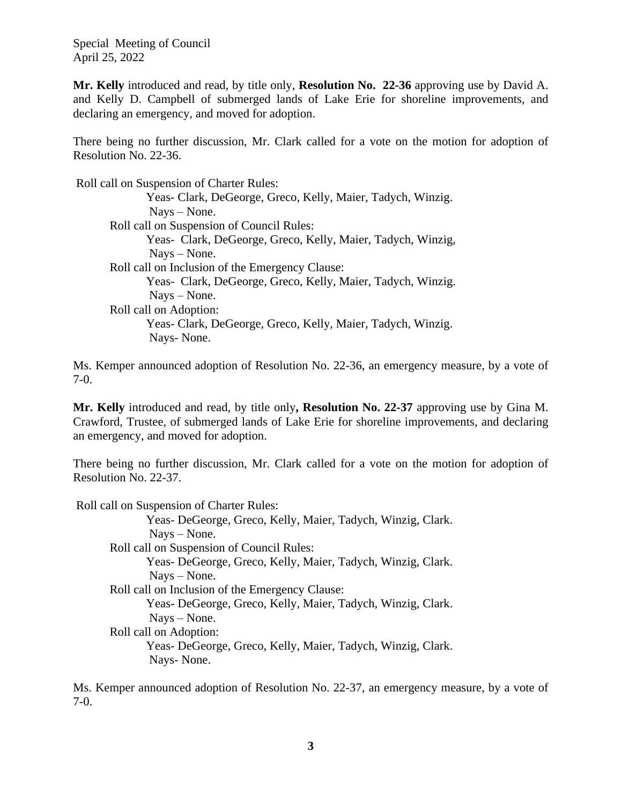**Mr. Kelly** introduced and read, by title only, **Resolution No. 22-36** approving use by David A. and Kelly D. Campbell of submerged lands of Lake Erie for shoreline improvements, and declaring an emergency, and moved for adoption.

There being no further discussion, Mr. Clark called for a vote on the motion for adoption of Resolution No. 22-36.

 Roll call on Suspension of Charter Rules: Yeas- Clark, DeGeorge, Greco, Kelly, Maier, Tadych, Winzig. Nays – None. Roll call on Suspension of Council Rules: Yeas- Clark, DeGeorge, Greco, Kelly, Maier, Tadych, Winzig, Nays – None. Roll call on Inclusion of the Emergency Clause: Yeas- Clark, DeGeorge, Greco, Kelly, Maier, Tadych, Winzig. Nays – None. Roll call on Adoption: Yeas- Clark, DeGeorge, Greco, Kelly, Maier, Tadych, Winzig. Nays- None.

Ms. Kemper announced adoption of Resolution No. 22-36, an emergency measure, by a vote of 7-0.

**Mr. Kelly** introduced and read, by title only**, Resolution No. 22-37** approving use by Gina M. Crawford, Trustee, of submerged lands of Lake Erie for shoreline improvements, and declaring an emergency, and moved for adoption.

There being no further discussion, Mr. Clark called for a vote on the motion for adoption of Resolution No. 22-37.

Roll call on Suspension of Charter Rules:

Yeas- DeGeorge, Greco, Kelly, Maier, Tadych, Winzig, Clark. Nays – None. Roll call on Suspension of Council Rules: Yeas- DeGeorge, Greco, Kelly, Maier, Tadych, Winzig, Clark. Nays – None. Roll call on Inclusion of the Emergency Clause: Yeas- DeGeorge, Greco, Kelly, Maier, Tadych, Winzig, Clark. Nays – None. Roll call on Adoption: Yeas- DeGeorge, Greco, Kelly, Maier, Tadych, Winzig, Clark. Nays- None.

Ms. Kemper announced adoption of Resolution No. 22-37, an emergency measure, by a vote of 7-0.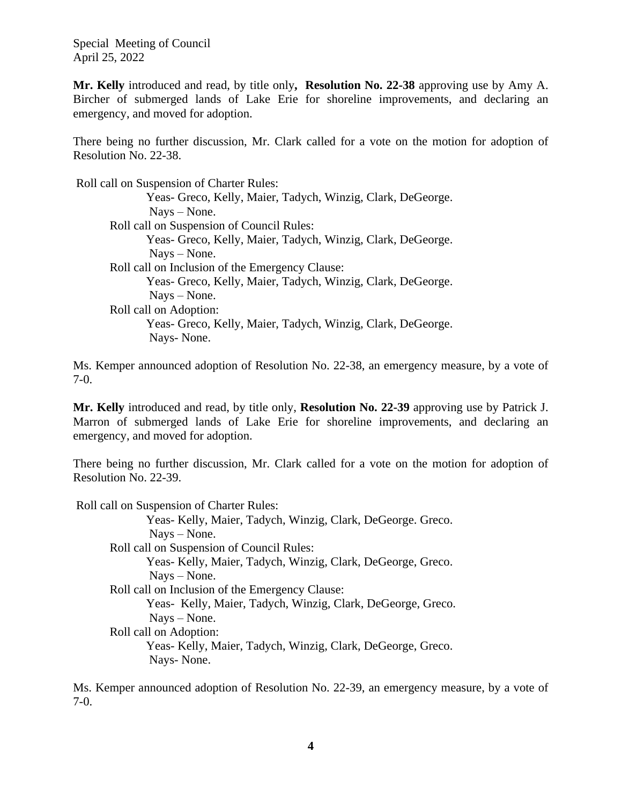**Mr. Kelly** introduced and read, by title only**, Resolution No. 22-38** approving use by Amy A. Bircher of submerged lands of Lake Erie for shoreline improvements, and declaring an emergency, and moved for adoption.

There being no further discussion, Mr. Clark called for a vote on the motion for adoption of Resolution No. 22-38.

 Roll call on Suspension of Charter Rules: Yeas- Greco, Kelly, Maier, Tadych, Winzig, Clark, DeGeorge. Nays – None. Roll call on Suspension of Council Rules: Yeas- Greco, Kelly, Maier, Tadych, Winzig, Clark, DeGeorge. Nays – None. Roll call on Inclusion of the Emergency Clause: Yeas- Greco, Kelly, Maier, Tadych, Winzig, Clark, DeGeorge. Nays – None. Roll call on Adoption: Yeas- Greco, Kelly, Maier, Tadych, Winzig, Clark, DeGeorge. Nays- None.

Ms. Kemper announced adoption of Resolution No. 22-38, an emergency measure, by a vote of 7-0.

**Mr. Kelly** introduced and read, by title only, **Resolution No. 22-39** approving use by Patrick J. Marron of submerged lands of Lake Erie for shoreline improvements, and declaring an emergency, and moved for adoption.

There being no further discussion, Mr. Clark called for a vote on the motion for adoption of Resolution No. 22-39.

 Roll call on Suspension of Charter Rules: Yeas- Kelly, Maier, Tadych, Winzig, Clark, DeGeorge. Greco. Nays – None. Roll call on Suspension of Council Rules: Yeas- Kelly, Maier, Tadych, Winzig, Clark, DeGeorge, Greco. Nays – None. Roll call on Inclusion of the Emergency Clause: Yeas- Kelly, Maier, Tadych, Winzig, Clark, DeGeorge, Greco. Nays – None. Roll call on Adoption: Yeas- Kelly, Maier, Tadych, Winzig, Clark, DeGeorge, Greco. Nays- None.

Ms. Kemper announced adoption of Resolution No. 22-39, an emergency measure, by a vote of 7-0.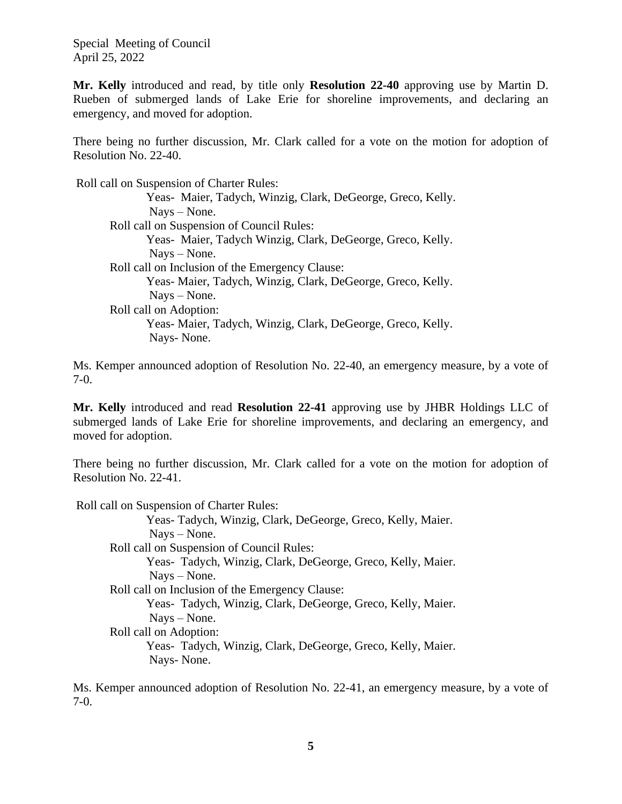**Mr. Kelly** introduced and read, by title only **Resolution 22-40** approving use by Martin D. Rueben of submerged lands of Lake Erie for shoreline improvements, and declaring an emergency, and moved for adoption.

There being no further discussion, Mr. Clark called for a vote on the motion for adoption of Resolution No. 22-40.

 Roll call on Suspension of Charter Rules: Yeas- Maier, Tadych, Winzig, Clark, DeGeorge, Greco, Kelly. Nays – None. Roll call on Suspension of Council Rules: Yeas- Maier, Tadych Winzig, Clark, DeGeorge, Greco, Kelly. Nays – None. Roll call on Inclusion of the Emergency Clause: Yeas- Maier, Tadych, Winzig, Clark, DeGeorge, Greco, Kelly. Nays – None. Roll call on Adoption: Yeas- Maier, Tadych, Winzig, Clark, DeGeorge, Greco, Kelly. Nays- None.

Ms. Kemper announced adoption of Resolution No. 22-40, an emergency measure, by a vote of 7-0.

**Mr. Kelly** introduced and read **Resolution 22-41** approving use by JHBR Holdings LLC of submerged lands of Lake Erie for shoreline improvements, and declaring an emergency, and moved for adoption.

There being no further discussion, Mr. Clark called for a vote on the motion for adoption of Resolution No. 22-41.

Roll call on Suspension of Charter Rules:

Yeas- Tadych, Winzig, Clark, DeGeorge, Greco, Kelly, Maier. Nays – None. Roll call on Suspension of Council Rules: Yeas- Tadych, Winzig, Clark, DeGeorge, Greco, Kelly, Maier. Nays – None. Roll call on Inclusion of the Emergency Clause: Yeas- Tadych, Winzig, Clark, DeGeorge, Greco, Kelly, Maier. Nays – None. Roll call on Adoption: Yeas- Tadych, Winzig, Clark, DeGeorge, Greco, Kelly, Maier. Nays- None.

Ms. Kemper announced adoption of Resolution No. 22-41, an emergency measure, by a vote of 7-0.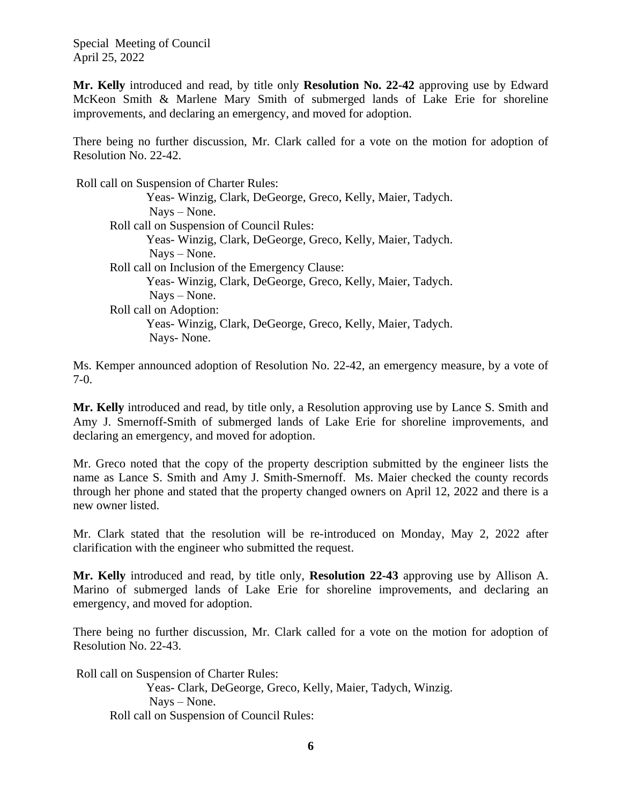**Mr. Kelly** introduced and read, by title only **Resolution No. 22-42** approving use by Edward McKeon Smith & Marlene Mary Smith of submerged lands of Lake Erie for shoreline improvements, and declaring an emergency, and moved for adoption.

There being no further discussion, Mr. Clark called for a vote on the motion for adoption of Resolution No. 22-42.

 Roll call on Suspension of Charter Rules: Yeas- Winzig, Clark, DeGeorge, Greco, Kelly, Maier, Tadych. Nays – None. Roll call on Suspension of Council Rules: Yeas- Winzig, Clark, DeGeorge, Greco, Kelly, Maier, Tadych. Nays – None. Roll call on Inclusion of the Emergency Clause: Yeas- Winzig, Clark, DeGeorge, Greco, Kelly, Maier, Tadych. Nays – None. Roll call on Adoption: Yeas- Winzig, Clark, DeGeorge, Greco, Kelly, Maier, Tadych. Nays- None.

Ms. Kemper announced adoption of Resolution No. 22-42, an emergency measure, by a vote of 7-0.

**Mr. Kelly** introduced and read, by title only, a Resolution approving use by Lance S. Smith and Amy J. Smernoff-Smith of submerged lands of Lake Erie for shoreline improvements, and declaring an emergency, and moved for adoption.

Mr. Greco noted that the copy of the property description submitted by the engineer lists the name as Lance S. Smith and Amy J. Smith-Smernoff. Ms. Maier checked the county records through her phone and stated that the property changed owners on April 12, 2022 and there is a new owner listed.

Mr. Clark stated that the resolution will be re-introduced on Monday, May 2, 2022 after clarification with the engineer who submitted the request.

**Mr. Kelly** introduced and read, by title only, **Resolution 22-43** approving use by Allison A. Marino of submerged lands of Lake Erie for shoreline improvements, and declaring an emergency, and moved for adoption.

There being no further discussion, Mr. Clark called for a vote on the motion for adoption of Resolution No. 22-43.

Roll call on Suspension of Charter Rules:

Yeas- Clark, DeGeorge, Greco, Kelly, Maier, Tadych, Winzig. Nays – None. Roll call on Suspension of Council Rules: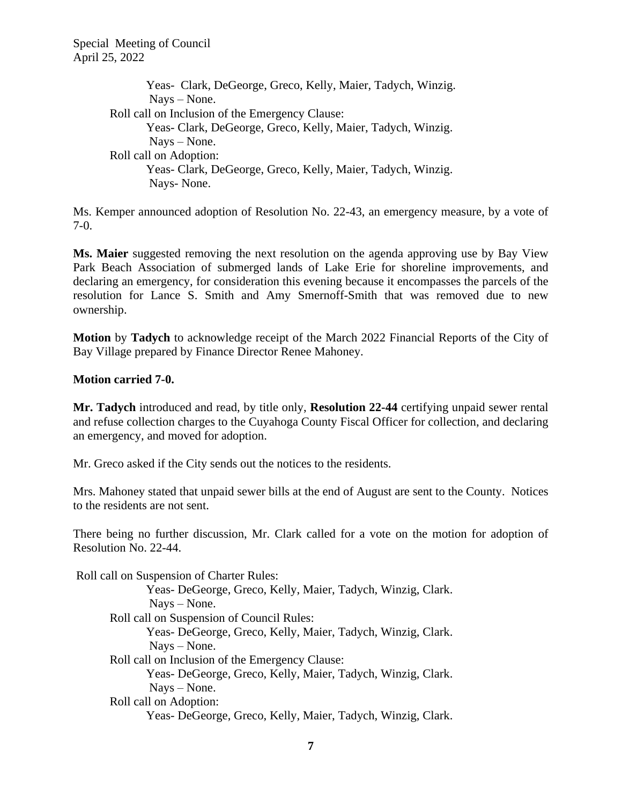Yeas- Clark, DeGeorge, Greco, Kelly, Maier, Tadych, Winzig. Nays – None. Roll call on Inclusion of the Emergency Clause: Yeas- Clark, DeGeorge, Greco, Kelly, Maier, Tadych, Winzig. Nays – None. Roll call on Adoption: Yeas- Clark, DeGeorge, Greco, Kelly, Maier, Tadych, Winzig. Nays- None.

Ms. Kemper announced adoption of Resolution No. 22-43, an emergency measure, by a vote of 7-0.

**Ms. Maier** suggested removing the next resolution on the agenda approving use by Bay View Park Beach Association of submerged lands of Lake Erie for shoreline improvements, and declaring an emergency, for consideration this evening because it encompasses the parcels of the resolution for Lance S. Smith and Amy Smernoff-Smith that was removed due to new ownership.

**Motion** by **Tadych** to acknowledge receipt of the March 2022 Financial Reports of the City of Bay Village prepared by Finance Director Renee Mahoney.

# **Motion carried 7-0.**

**Mr. Tadych** introduced and read, by title only, **Resolution 22-44** certifying unpaid sewer rental and refuse collection charges to the Cuyahoga County Fiscal Officer for collection, and declaring an emergency, and moved for adoption.

Mr. Greco asked if the City sends out the notices to the residents.

Mrs. Mahoney stated that unpaid sewer bills at the end of August are sent to the County. Notices to the residents are not sent.

There being no further discussion, Mr. Clark called for a vote on the motion for adoption of Resolution No. 22-44.

 Roll call on Suspension of Charter Rules: Yeas- DeGeorge, Greco, Kelly, Maier, Tadych, Winzig, Clark. Nays – None. Roll call on Suspension of Council Rules: Yeas- DeGeorge, Greco, Kelly, Maier, Tadych, Winzig, Clark. Nays – None. Roll call on Inclusion of the Emergency Clause: Yeas- DeGeorge, Greco, Kelly, Maier, Tadych, Winzig, Clark. Nays – None. Roll call on Adoption: Yeas- DeGeorge, Greco, Kelly, Maier, Tadych, Winzig, Clark.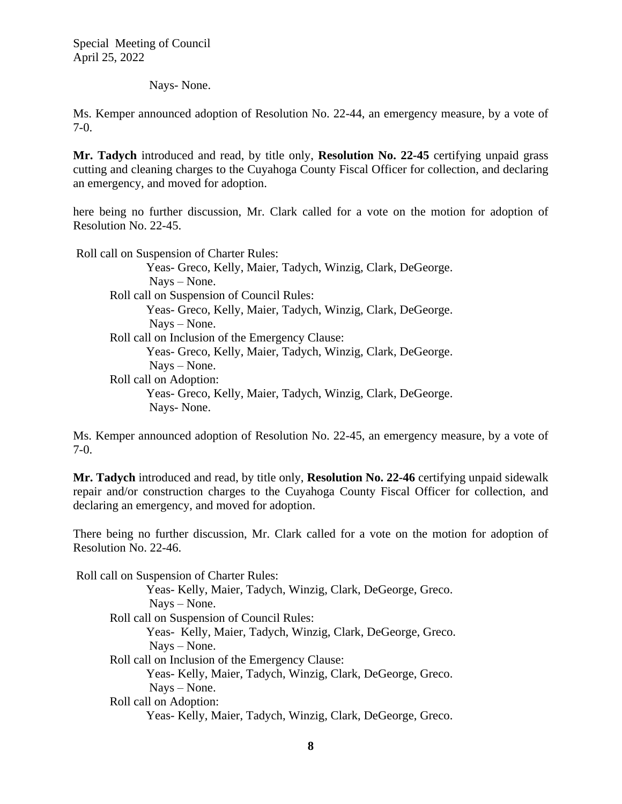#### Nays- None.

Ms. Kemper announced adoption of Resolution No. 22-44, an emergency measure, by a vote of 7-0.

**Mr. Tadych** introduced and read, by title only, **Resolution No. 22-45** certifying unpaid grass cutting and cleaning charges to the Cuyahoga County Fiscal Officer for collection, and declaring an emergency, and moved for adoption.

here being no further discussion, Mr. Clark called for a vote on the motion for adoption of Resolution No. 22-45.

Roll call on Suspension of Charter Rules:

Yeas- Greco, Kelly, Maier, Tadych, Winzig, Clark, DeGeorge. Nays – None. Roll call on Suspension of Council Rules: Yeas- Greco, Kelly, Maier, Tadych, Winzig, Clark, DeGeorge. Nays – None. Roll call on Inclusion of the Emergency Clause: Yeas- Greco, Kelly, Maier, Tadych, Winzig, Clark, DeGeorge. Nays – None. Roll call on Adoption: Yeas- Greco, Kelly, Maier, Tadych, Winzig, Clark, DeGeorge. Nays- None.

Ms. Kemper announced adoption of Resolution No. 22-45, an emergency measure, by a vote of 7-0.

**Mr. Tadych** introduced and read, by title only, **Resolution No. 22-46** certifying unpaid sidewalk repair and/or construction charges to the Cuyahoga County Fiscal Officer for collection, and declaring an emergency, and moved for adoption.

There being no further discussion, Mr. Clark called for a vote on the motion for adoption of Resolution No. 22-46.

 Roll call on Suspension of Charter Rules: Yeas- Kelly, Maier, Tadych, Winzig, Clark, DeGeorge, Greco. Nays – None. Roll call on Suspension of Council Rules: Yeas- Kelly, Maier, Tadych, Winzig, Clark, DeGeorge, Greco. Nays – None. Roll call on Inclusion of the Emergency Clause: Yeas- Kelly, Maier, Tadych, Winzig, Clark, DeGeorge, Greco. Nays – None. Roll call on Adoption: Yeas- Kelly, Maier, Tadych, Winzig, Clark, DeGeorge, Greco.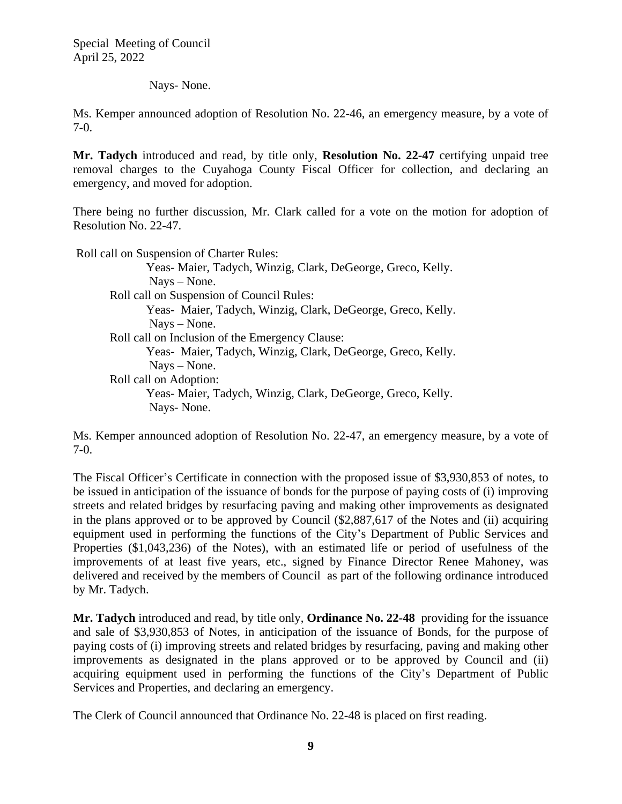#### Nays- None.

Ms. Kemper announced adoption of Resolution No. 22-46, an emergency measure, by a vote of 7-0.

**Mr. Tadych** introduced and read, by title only, **Resolution No. 22-47** certifying unpaid tree removal charges to the Cuyahoga County Fiscal Officer for collection, and declaring an emergency, and moved for adoption.

There being no further discussion, Mr. Clark called for a vote on the motion for adoption of Resolution No. 22-47.

Roll call on Suspension of Charter Rules:

Yeas- Maier, Tadych, Winzig, Clark, DeGeorge, Greco, Kelly. Nays – None. Roll call on Suspension of Council Rules: Yeas- Maier, Tadych, Winzig, Clark, DeGeorge, Greco, Kelly. Nays – None. Roll call on Inclusion of the Emergency Clause: Yeas- Maier, Tadych, Winzig, Clark, DeGeorge, Greco, Kelly. Nays – None. Roll call on Adoption: Yeas- Maier, Tadych, Winzig, Clark, DeGeorge, Greco, Kelly. Nays- None.

Ms. Kemper announced adoption of Resolution No. 22-47, an emergency measure, by a vote of 7-0.

The Fiscal Officer's Certificate in connection with the proposed issue of \$3,930,853 of notes, to be issued in anticipation of the issuance of bonds for the purpose of paying costs of (i) improving streets and related bridges by resurfacing paving and making other improvements as designated in the plans approved or to be approved by Council (\$2,887,617 of the Notes and (ii) acquiring equipment used in performing the functions of the City's Department of Public Services and Properties (\$1,043,236) of the Notes), with an estimated life or period of usefulness of the improvements of at least five years, etc., signed by Finance Director Renee Mahoney, was delivered and received by the members of Council as part of the following ordinance introduced by Mr. Tadych.

**Mr. Tadych** introduced and read, by title only, **Ordinance No. 22-48** providing for the issuance and sale of \$3,930,853 of Notes, in anticipation of the issuance of Bonds, for the purpose of paying costs of (i) improving streets and related bridges by resurfacing, paving and making other improvements as designated in the plans approved or to be approved by Council and (ii) acquiring equipment used in performing the functions of the City's Department of Public Services and Properties, and declaring an emergency.

The Clerk of Council announced that Ordinance No. 22-48 is placed on first reading.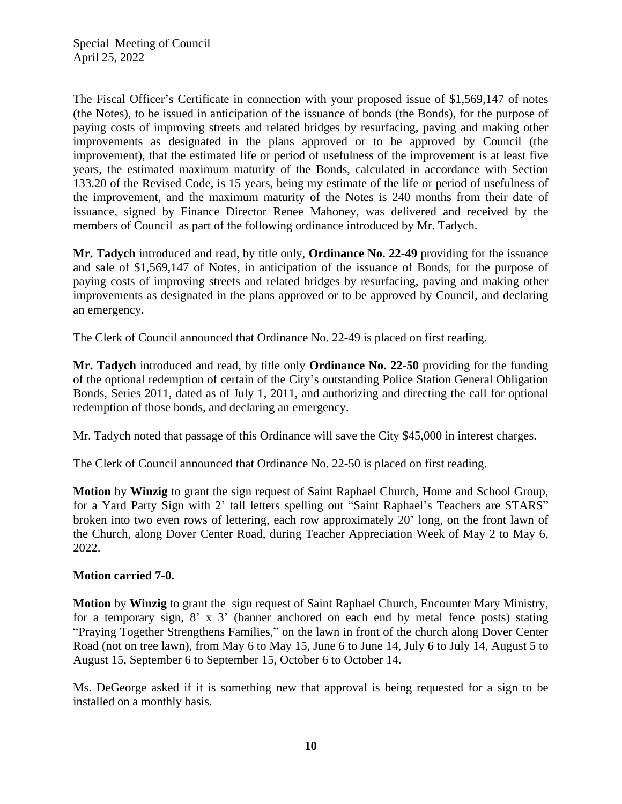The Fiscal Officer's Certificate in connection with your proposed issue of \$1,569,147 of notes (the Notes), to be issued in anticipation of the issuance of bonds (the Bonds), for the purpose of paying costs of improving streets and related bridges by resurfacing, paving and making other improvements as designated in the plans approved or to be approved by Council (the improvement), that the estimated life or period of usefulness of the improvement is at least five years, the estimated maximum maturity of the Bonds, calculated in accordance with Section 133.20 of the Revised Code, is 15 years, being my estimate of the life or period of usefulness of the improvement, and the maximum maturity of the Notes is 240 months from their date of issuance, signed by Finance Director Renee Mahoney, was delivered and received by the members of Council as part of the following ordinance introduced by Mr. Tadych.

**Mr. Tadych** introduced and read, by title only, **Ordinance No. 22-49** providing for the issuance and sale of \$1,569,147 of Notes, in anticipation of the issuance of Bonds, for the purpose of paying costs of improving streets and related bridges by resurfacing, paving and making other improvements as designated in the plans approved or to be approved by Council, and declaring an emergency.

The Clerk of Council announced that Ordinance No. 22-49 is placed on first reading.

**Mr. Tadych** introduced and read, by title only **Ordinance No. 22-50** providing for the funding of the optional redemption of certain of the City's outstanding Police Station General Obligation Bonds, Series 2011, dated as of July 1, 2011, and authorizing and directing the call for optional redemption of those bonds, and declaring an emergency.

Mr. Tadych noted that passage of this Ordinance will save the City \$45,000 in interest charges.

The Clerk of Council announced that Ordinance No. 22-50 is placed on first reading.

**Motion** by **Winzig** to grant the sign request of Saint Raphael Church, Home and School Group, for a Yard Party Sign with 2' tall letters spelling out "Saint Raphael's Teachers are STARS" broken into two even rows of lettering, each row approximately 20' long, on the front lawn of the Church, along Dover Center Road, during Teacher Appreciation Week of May 2 to May 6, 2022.

# **Motion carried 7-0.**

**Motion** by **Winzig** to grant the sign request of Saint Raphael Church, Encounter Mary Ministry, for a temporary sign, 8' x 3' (banner anchored on each end by metal fence posts) stating "Praying Together Strengthens Families," on the lawn in front of the church along Dover Center Road (not on tree lawn), from May 6 to May 15, June 6 to June 14, July 6 to July 14, August 5 to August 15, September 6 to September 15, October 6 to October 14.

Ms. DeGeorge asked if it is something new that approval is being requested for a sign to be installed on a monthly basis.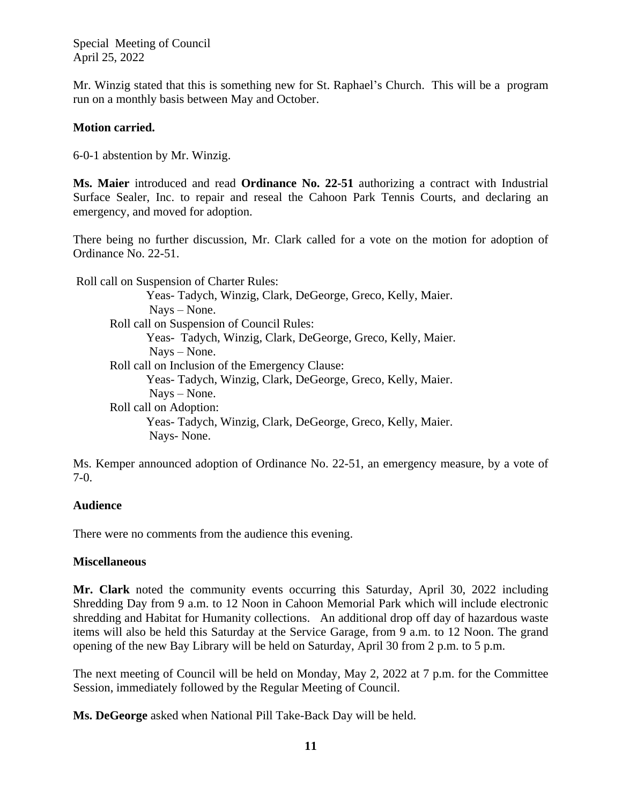Mr. Winzig stated that this is something new for St. Raphael's Church. This will be a program run on a monthly basis between May and October.

# **Motion carried.**

6-0-1 abstention by Mr. Winzig.

**Ms. Maier** introduced and read **Ordinance No. 22-51** authorizing a contract with Industrial Surface Sealer, Inc. to repair and reseal the Cahoon Park Tennis Courts, and declaring an emergency, and moved for adoption.

There being no further discussion, Mr. Clark called for a vote on the motion for adoption of Ordinance No. 22-51.

 Roll call on Suspension of Charter Rules: Yeas- Tadych, Winzig, Clark, DeGeorge, Greco, Kelly, Maier. Nays – None. Roll call on Suspension of Council Rules: Yeas- Tadych, Winzig, Clark, DeGeorge, Greco, Kelly, Maier. Nays – None. Roll call on Inclusion of the Emergency Clause: Yeas- Tadych, Winzig, Clark, DeGeorge, Greco, Kelly, Maier. Nays – None. Roll call on Adoption: Yeas- Tadych, Winzig, Clark, DeGeorge, Greco, Kelly, Maier. Nays- None.

Ms. Kemper announced adoption of Ordinance No. 22-51, an emergency measure, by a vote of 7-0.

# **Audience**

There were no comments from the audience this evening.

# **Miscellaneous**

**Mr. Clark** noted the community events occurring this Saturday, April 30, 2022 including Shredding Day from 9 a.m. to 12 Noon in Cahoon Memorial Park which will include electronic shredding and Habitat for Humanity collections. An additional drop off day of hazardous waste items will also be held this Saturday at the Service Garage, from 9 a.m. to 12 Noon. The grand opening of the new Bay Library will be held on Saturday, April 30 from 2 p.m. to 5 p.m.

The next meeting of Council will be held on Monday, May 2, 2022 at 7 p.m. for the Committee Session, immediately followed by the Regular Meeting of Council.

**Ms. DeGeorge** asked when National Pill Take-Back Day will be held.